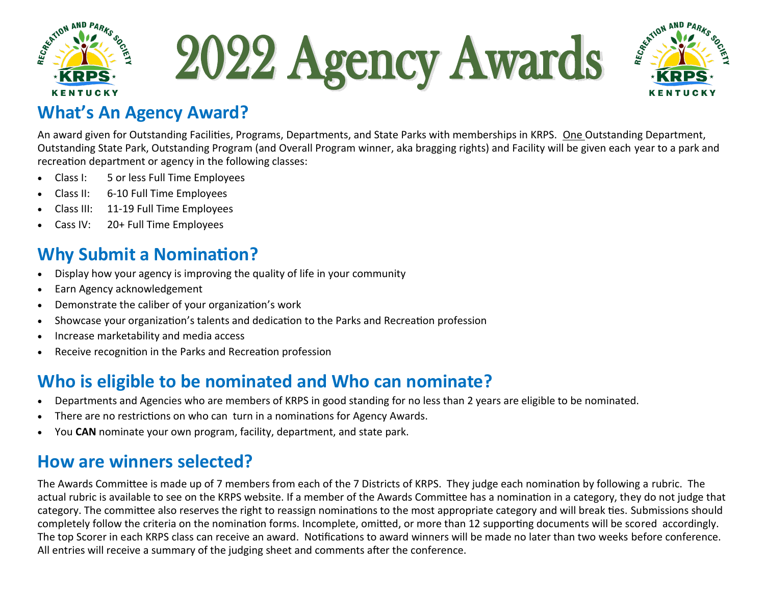

2022 Agency Awards



#### **What's An Agency Award?**

An award given for Outstanding Facilities, Programs, Departments, and State Parks with memberships in KRPS. One Outstanding Department, Outstanding State Park, Outstanding Program (and Overall Program winner, aka bragging rights) and Facility will be given each year to a park and recreation department or agency in the following classes:

- Class I: 5 or less Full Time Employees
- Class II: 6-10 Full Time Employees
- Class III: 11-19 Full Time Employees
- Cass IV: 20+ Full Time Employees

### **Why Submit a Nomination?**

- Display how your agency is improving the quality of life in your community
- Earn Agency acknowledgement
- Demonstrate the caliber of your organization's work
- Showcase your organization's talents and dedication to the Parks and Recreation profession
- Increase marketability and media access
- Receive recognition in the Parks and Recreation profession

# **Who is eligible to be nominated and Who can nominate?**

- Departments and Agencies who are members of KRPS in good standing for no less than 2 years are eligible to be nominated.
- There are no restrictions on who can turn in a nominations for Agency Awards.
- You **CAN** nominate your own program, facility, department, and state park.

#### **How are winners selected?**

The Awards Committee is made up of 7 members from each of the 7 Districts of KRPS. They judge each nomination by following a rubric. The actual rubric is available to see on the KRPS website. If a member of the Awards Committee has a nomination in a category, they do not judge that category. The committee also reserves the right to reassign nominations to the most appropriate category and will break ties. Submissions should completely follow the criteria on the nomination forms. Incomplete, omitted, or more than 12 supporting documents will be scored accordingly. The top Scorer in each KRPS class can receive an award. Notifications to award winners will be made no later than two weeks before conference. All entries will receive a summary of the judging sheet and comments after the conference.